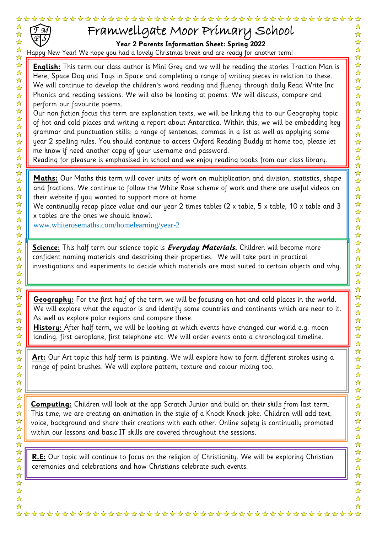

卒

 $\frac{1}{2}$ 

)<br>사 지

 $\frac{1}{2}$ 

☆☆☆☆☆☆☆☆☆☆☆☆☆

☆☆☆☆☆☆☆☆☆☆☆☆

2222公

 $\frac{1}{\sqrt{2}}$ 

公众好好好

华华华

 $\frac{\lambda}{\lambda}$  $\frac{1}{2}$ 

 $\frac{\lambda}{\lambda}$  $\frac{1}{\sqrt{2}}$  $\frac{1}{\sqrt{2}}$ ☆ ☆  $\frac{1}{\mathbf{k}}$ 

 $\frac{1}{\sqrt{2}}$  $\frac{1}{\sqrt{2}}$  $\frac{1}{\mathbf{k}^{\prime}}$  $\frac{\lambda}{\lambda}$  $\frac{1}{\sqrt{2}}$  $\frac{1}{\sqrt{2}}$  $\frac{1}{\sqrt{2}}$  $\frac{1}{\sqrt{2}}$  $\frac{1}{\mathbf{k}}$  $\frac{\lambda}{\lambda}$  $\frac{1}{\sqrt{2}}$  $\frac{1}{\sqrt{2}}$ 

## Framwellgate Moor Primary School

**Year 2 Parents Information Sheet: Spring 2022**

Happy New Year! We hope you had a lovely Christmas break and are ready for another term!

n **English:** This term our class author is Mini Grey and we will be reading the stories Traction Man is Here, Space Dog and Toys in Space and completing a range of writing pieces in relation to these. We will continue to develop the children's word reading and fluency through daily Read Write Inc Phonics and reading sessions. We will also be looking at poems. We will discuss, compare and perform our favourite poems.

Our non fiction focus this term are explanation texts, we will be linking this to our Geography topic of hot and cold places and writing a report about Antarctica. Within this, we will be embedding key grammar and punctuation skills; a range of sentences, commas in a list as well as applying some year 2 spelling rules. You should continue to access Oxford Reading Buddy at home too, please let me know if need another copy of your username and password.

Reading for pleasure is emphasised in school and we enjoy reading books from our class library.

**Maths:** Our Maths this term will cover units of work on multiplication and division, statistics, shape and fractions. We continue to follow the White Rose scheme of work and there are useful videos on their website if you wanted to support more at home.

We continually recap place value and our year 2 times tables (2 x table, 5 x table, 10 x table and 3 x tables are the ones we should know).

www.whiterosemaths.com/homelearning/year-2

**Science:** This half term our science topic is **Everyday Materials.** Children will become more confident naming materials and describing their properties. We will take part in practical investigations and experiments to decide which materials are most suited to certain objects and why.

**Geography:** For the first half of the term we will be focusing on hot and cold places in the world. We will explore what the equator is and identify some countries and continents which are near to it. As well as explore polar regions and compare these.

**History:** After half term, we will be looking at which events have changed our world e.g. moon landing, first aeroplane, first telephone etc. We will order events onto a chronological timeline.

**Art:** Our Art topic this half term is painting. We will explore how to form different strokes using a range of paint brushes. We will explore pattern, texture and colour mixing too.

**Computing:** Children will look at the app Scratch Junior and build on their skills from last term. This time, we are creating an animation in the style of a Knock Knock joke. Children will add text, voice, background and share their creations with each other. Online safety is continually promoted within our lessons and basic IT skills are covered throughout the sessions.

**R.E:** Our topic will continue to focus on the religion of Christianity. We will be exploring Christian ceremonies and celebrations and how Christians celebrate such events.